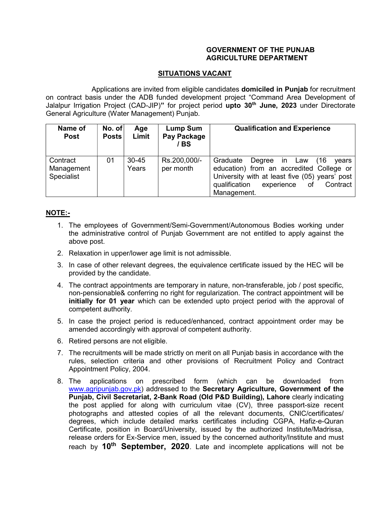## GOVERNMENT OF THE PUNJAB AGRICULTURE DEPARTMENT

## SITUATIONS VACANT

 Applications are invited from eligible candidates domiciled in Punjab for recruitment on contract basis under the ADB funded development project "Command Area Development of Jalalpur Irrigation Project (CAD-JIP)" for project period upto 30<sup>th</sup> June, 2023 under Directorate General Agriculture (Water Management) Punjab.

| Name of<br><b>Post</b>               | No. of<br><b>Posts</b> | Age<br>Limit       | <b>Lump Sum</b><br>Pay Package<br>/ BS | <b>Qualification and Experience</b>                                                                                                                                                                      |
|--------------------------------------|------------------------|--------------------|----------------------------------------|----------------------------------------------------------------------------------------------------------------------------------------------------------------------------------------------------------|
| Contract<br>Management<br>Specialist | 01                     | $30 - 45$<br>Years | Rs.200,000/-<br>per month              | Graduate<br>(16)<br>Degree in Law<br>vears<br>education) from an accredited College or<br>University with at least five (05) years' post<br>qualification<br>experience<br>Contract<br>of<br>Management. |

## NOTE:-

- 1. The employees of Government/Semi-Government/Autonomous Bodies working under the administrative control of Punjab Government are not entitled to apply against the above post.
- 2. Relaxation in upper/lower age limit is not admissible.
- 3. In case of other relevant degrees, the equivalence certificate issued by the HEC will be provided by the candidate.
- 4. The contract appointments are temporary in nature, non-transferable, job / post specific, non-pensionable& conferring no right for regularization. The contract appointment will be initially for 01 year which can be extended upto project period with the approval of competent authority.
- 5. In case the project period is reduced/enhanced, contract appointment order may be amended accordingly with approval of competent authority.
- 6. Retired persons are not eligible.
- 7. The recruitments will be made strictly on merit on all Punjab basis in accordance with the rules, selection criteria and other provisions of Recruitment Policy and Contract Appointment Policy, 2004.
- 8. The applications on prescribed form (which can be downloaded from www.agripunjab.gov.pk) addressed to the Secretary Agriculture, Government of the Punjab, Civil Secretariat, 2-Bank Road (Old P&D Building), Lahore clearly indicating the post applied for along with curriculum vitae (CV), three passport-size recent photographs and attested copies of all the relevant documents, CNIC/certificates/ degrees, which include detailed marks certificates including CGPA, Hafiz-e-Quran Certificate, position in Board/University, issued by the authorized Institute/Madrissa, release orders for Ex-Service men, issued by the concerned authority/Institute and must reach by 10<sup>th</sup> September, 2020. Late and incomplete applications will not be